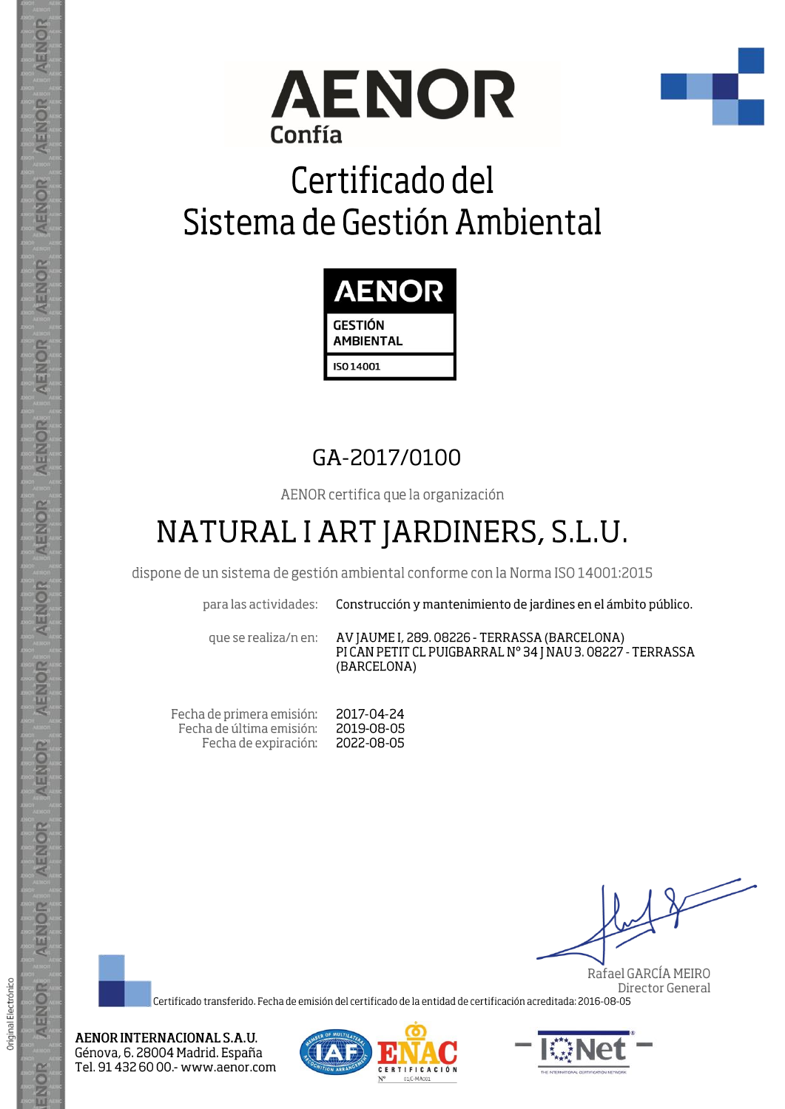



# Certificado del Sistema de Gestión Ambiental



## GA-2017/0100

AENOR certifica que la organización

## NATURAL I ART JARDINERS, S.L.U.

dispone de un sistema de gestión ambiental conforme con la Norma ISO 14001:2015

para las actividades:

Construcción y mantenimiento de jardines en el ámbito público.

que se realiza/n en:

AV JAUME I, 289. 08226 - TERRASSA (BARCELONA) PICAN PETIT CL PUIGBARRAL Nº 34 J NAU 3. 08227 - TERRASSA (BARCELONA)

Fecha de primera emisión: Fecha de última emisión: Fecha de expiración:

2017-04-24 2019-08-05 2022-08-05

Original Electrónico

ENOR

Rafael GARCÍA MEIRO Director General

Certificado transferido. Fecha de emisión del certificado de la entidad de certificación acreditada: 2016-08-05

AENOR INTERNACIONAL S.A.U. Génova, 6. 28004 Madrid. España Tel. 91 432 60 00.- www.aenor.com